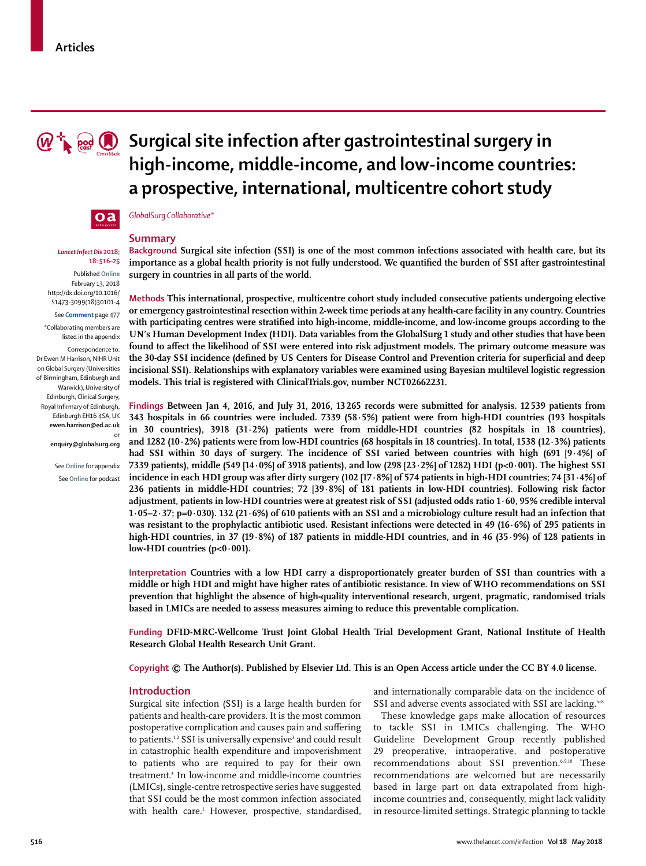

# **M**  $\mathbf{R}$  and  $\mathbf{R}$  surgical site infection after gastrointestinal surgery in **high-income, middle-income, and low-income countries: a prospective, international, multicentre cohort study**



# *Lancet Infect Dis* **2018; 18: 516–25**

Published **Online** February 13, 2018 http://dx.doi.org/10.1016/ S1473-3099(18)30101-4

#### See **Comment** page 477

\*Collaborating members are listed in the appendix

Correspondence to: Dr Ewen M Harrison, NIHR Unit on Global Surgery (Universities of Birmingham, Edinburgh and Warwick), University of Edinburgh, Clinical Surgery, Royal Infirmary of Edinburgh, Edinburgh EH16 4SA, UK **ewen.harrison@ed.ac.uk**  or

**enquiry@globalsurg.org**

See **Online** for appendix See **Online** for podcast *GlobalSurg Collaborative\**

# **Summary**

**Background Surgical site infection (SSI) is one of the most common infections associated with health care, but its importance as a global health priority is not fully understood. We quantified the burden of SSI after gastrointestinal surgery in countries in all parts of the world.**

**Methods This international, prospective, multicentre cohort study included consecutive patients undergoing elective or emergency gastrointestinal resection within 2-week time periods at any health-care facility in any country. Countries with participating centres were stratified into high-income, middle-income, and low-income groups according to the UN's Human Development Index (HDI). Data variables from the GlobalSurg 1 study and other studies that have been found to affect the likelihood of SSI were entered into risk adjustment models. The primary outcome measure was the 30-day SSI incidence (defined by US Centers for Disease Control and Prevention criteria for superficial and deep incisional SSI). Relationships with explanatory variables were examined using Bayesian multilevel logistic regression models. This trial is registered with ClinicalTrials.gov, number NCT02662231.**

**Findings Between Jan 4, 2016, and July 31, 2016, 13265 records were submitted for analysis. 12539 patients from 343 hospitals in 66 countries were included. 7339 (58·5%) patient were from high-HDI countries (193 hospitals in 30 countries), 3918 (31·2%) patients were from middle-HDI countries (82 hospitals in 18 countries), and 1282 (10·2%) patients were from low-HDI countries (68 hospitals in 18 countries). In total, 1538 (12·3%) patients had SSI within 30 days of surgery. The incidence of SSI varied between countries with high (691 [9·4%] of 7339 patients), middle (549 [14·0%] of 3918 patients), and low (298 [23·2%] of 1282) HDI (p<0·001). The highest SSI incidence in each HDI group was after dirty surgery (102 [17·8%] of 574 patients in high-HDI countries; 74 [31·4%] of 236 patients in middle-HDI countries; 72 [39·8%] of 181 patients in low-HDI countries). Following risk factor adjustment, patients in low-HDI countries were at greatest risk of SSI (adjusted odds ratio 1·60, 95% credible interval 1·05–2·37; p=0·030). 132 (21·6%) of 610 patients with an SSI and a microbiology culture result had an infection that was resistant to the prophylactic antibiotic used. Resistant infections were detected in 49 (16·6%) of 295 patients in high-HDI countries, in 37 (19·8%) of 187 patients in middle-HDI countries, and in 46 (35·9%) of 128 patients in low-HDI countries (p<0·001).**

**Interpretation Countries with a low HDI carry a disproportionately greater burden of SSI than countries with a middle or high HDI and might have higher rates of antibiotic resistance. In view of WHO recommendations on SSI prevention that highlight the absence of high-quality interventional research, urgent, pragmatic, randomised trials based in LMICs are needed to assess measures aiming to reduce this preventable complication.**

**Funding DFID-MRC-Wellcome Trust Joint Global Health Trial Development Grant, National Institute of Health Research Global Health Research Unit Grant.**

**Copyright © The Author(s). Published by Elsevier Ltd. This is an Open Access article under the CC BY 4.0 license.**

# **Introduction**

Surgical site infection (SSI) is a large health burden for patients and health-care providers. It is the most common postoperative complication and causes pain and suffering to patients.<sup>1,2</sup> SSI is universally expensive<sup>3</sup> and could result in catastrophic health expenditure and impoverishment to patients who are required to pay for their own treatment.4 In low-income and middle-income countries (LMICs), single-centre retrospective series have suggested that SSI could be the most common infection associated with health care.<sup>1</sup> However, prospective, standardised, and internationally comparable data on the incidence of SSI and adverse events associated with SSI are lacking.<sup>5-8</sup>

These knowledge gaps make allocation of resources to tackle SSI in LMICs challenging. The WHO Guideline Development Group recently published 29 preoperative, intraoperative, and postoperative recommendations about SSI prevention.6,9,10 These recommendations are welcomed but are necessarily based in large part on data extrapolated from highincome countries and, consequently, might lack validity in resource-limited settings. Strategic planning to tackle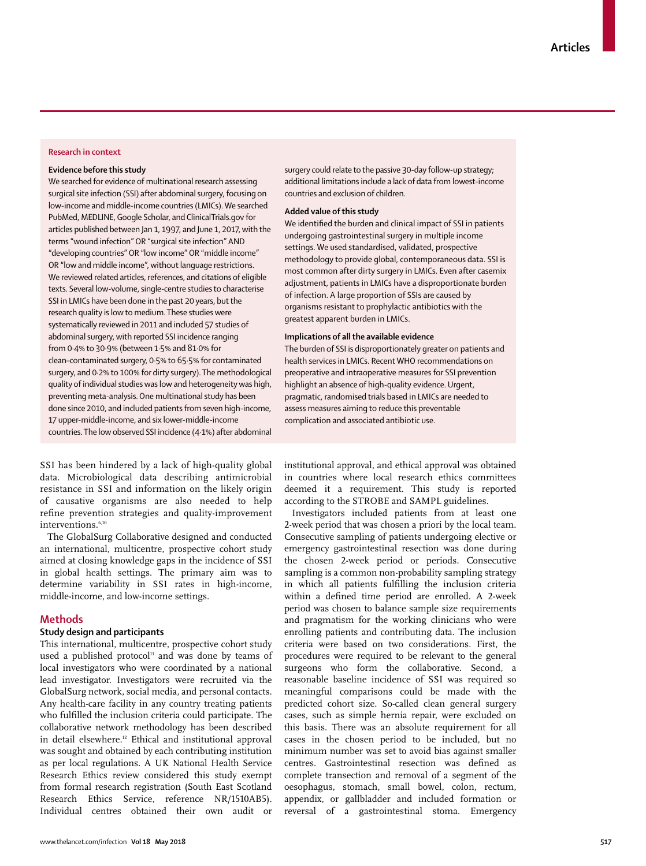# **Research in context**

## **Evidence before this study**

We searched for evidence of multinational research assessing surgical site infection (SSI) after abdominal surgery, focusing on low-income and middle-income countries (LMICs). We searched PubMed, MEDLINE, Google Scholar, and ClinicalTrials.gov for articles published between Jan 1, 1997, and June 1, 2017, with the terms "wound infection" OR "surgical site infection" AND "developing countries" OR "low income" OR "middle income" OR "low and middle income", without language restrictions. We reviewed related articles, references, and citations of eligible texts. Several low-volume, single-centre studies to characterise SSI in LMICs have been done in the past 20 years, but the research quality is low to medium. These studies were systematically reviewed in 2011 and included 57 studies of abdominal surgery, with reported SSI incidence ranging from 0·4% to 30·9% (between 1·5% and 81·0% for clean–contaminated surgery, 0·5% to 65·5% for contaminated surgery, and 0·2% to 100% for dirty surgery). The methodological quality of individual studies was low and heterogeneity was high, preventing meta-analysis. One multinational study has been done since 2010, and included patients from seven high-income, 17 upper-middle-income, and six lower-middle-income countries. The low observed SSI incidence (4·1%) after abdominal surgery could relate to the passive 30-day follow-up strategy; additional limitations include a lack of data from lowest-income countries and exclusion of children.

# **Added value of this study**

We identified the burden and clinical impact of SSI in patients undergoing gastrointestinal surgery in multiple income settings. We used standardised, validated, prospective methodology to provide global, contemporaneous data. SSI is most common after dirty surgery in LMICs. Even after casemix adjustment, patients in LMICs have a disproportionate burden of infection. A large proportion of SSIs are caused by organisms resistant to prophylactic antibiotics with the greatest apparent burden in LMICs.

## **Implications of all the available evidence**

The burden of SSI is disproportionately greater on patients and health services in LMICs. Recent WHO recommendations on preoperative and intraoperative measures for SSI prevention highlight an absence of high-quality evidence. Urgent, pragmatic, randomised trials based in LMICs are needed to assess measures aiming to reduce this preventable complication and associated antibiotic use.

SSI has been hindered by a lack of high-quality global data. Microbiological data describing antimicrobial resistance in SSI and information on the likely origin of causative organisms are also needed to help refine prevention strategies and quality-improvement interventions.<sup>6,10</sup>

The GlobalSurg Collaborative designed and conducted an international, multicentre, prospective cohort study aimed at closing knowledge gaps in the incidence of SSI in global health settings. The primary aim was to determine variability in SSI rates in high-income, middle-income, and low-income settings.

## **Methods**

# **Study design and participants**

This international, multicentre, prospective cohort study used a published protocol $11$  and was done by teams of local investigators who were coordinated by a national lead investigator. Investigators were recruited via the GlobalSurg network, social media, and personal contacts. Any health-care facility in any country treating patients who fulfilled the inclusion criteria could participate. The collaborative network methodology has been described in detail elsewhere.12 Ethical and institutional approval was sought and obtained by each contributing institution as per local regulations. A UK National Health Service Research Ethics review considered this study exempt from formal research registration (South East Scotland Research Ethics Service, reference NR/1510AB5). Individual centres obtained their own audit or institutional approval, and ethical approval was obtained in countries where local research ethics committees deemed it a requirement. This study is reported according to the STROBE and SAMPL guidelines.

Investigators included patients from at least one 2-week period that was chosen a priori by the local team. Consecutive sampling of patients undergoing elective or emergency gastrointestinal resection was done during the chosen 2-week period or periods. Consecutive sampling is a common non-probability sampling strategy in which all patients fulfilling the inclusion criteria within a defined time period are enrolled. A 2-week period was chosen to balance sample size requirements and pragmatism for the working clinicians who were enrolling patients and contributing data. The inclusion criteria were based on two considerations. First, the procedures were required to be relevant to the general surgeons who form the collaborative. Second, a reasonable baseline incidence of SSI was required so meaningful comparisons could be made with the predicted cohort size. So-called clean general surgery cases, such as simple hernia repair, were excluded on this basis. There was an absolute requirement for all cases in the chosen period to be included, but no minimum number was set to avoid bias against smaller centres. Gastrointestinal resection was defined as complete transection and removal of a segment of the oesophagus, stomach, small bowel, colon, rectum, appendix, or gallbladder and included formation or reversal of a gastrointestinal stoma. Emergency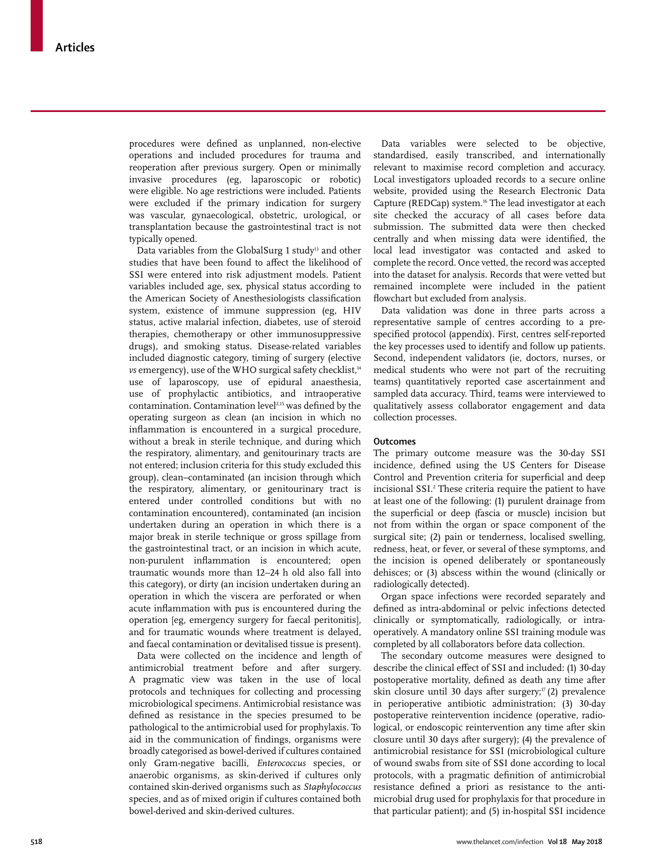procedures were defined as unplanned, non-elective operations and included procedures for trauma and reoperation after previous surgery. Open or minimally invasive procedures (eg, laparoscopic or robotic) were eligible. No age restrictions were included. Patients were excluded if the primary indication for surgery was vascular, gynaecological, obstetric, urological, or transplantation because the gastrointestinal tract is not typically opened.

Data variables from the GlobalSurg 1 study<sup>13</sup> and other studies that have been found to affect the likelihood of SSI were entered into risk adjustment models. Patient variables included age, sex, physical status according to the American Society of Anesthesiologists classification system, existence of immune suppression (eg, HIV status, active malarial infection, diabetes, use of steroid therapies, chemotherapy or other immunosuppressive drugs), and smoking status. Disease-related variables included diagnostic category, timing of surgery (elective *vs* emergency), use of the WHO surgical safety checklist,<sup>14</sup> use of laparoscopy, use of epidural anaesthesia, use of prophylactic antibiotics, and intraoperative contamination. Contamination level<sup>2,15</sup> was defined by the operating surgeon as clean (an incision in which no inflammation is encountered in a surgical procedure, without a break in sterile technique, and during which the respiratory, alimentary, and genitourinary tracts are not entered; inclusion criteria for this study excluded this group), clean–contaminated (an incision through which the respiratory, alimentary, or genitourinary tract is entered under controlled conditions but with no contamination encountered), contaminated (an incision undertaken during an operation in which there is a major break in sterile technique or gross spillage from the gastrointestinal tract, or an incision in which acute, non-purulent inflammation is encountered; open traumatic wounds more than 12–24 h old also fall into this category), or dirty (an incision undertaken during an operation in which the viscera are perforated or when acute inflammation with pus is encountered during the operation [eg, emergency surgery for faecal peritonitis], and for traumatic wounds where treatment is delayed, and faecal contamination or devitalised tissue is present).

Data were collected on the incidence and length of antimicrobial treatment before and after surgery. A pragmatic view was taken in the use of local protocols and techniques for collecting and processing microbiological specimens. Antimicrobial resistance was defined as resistance in the species presumed to be pathological to the antimicrobial used for prophylaxis. To aid in the communication of findings, organisms were broadly categorised as bowel-derived if cultures contained only Gram-negative bacilli, *Enterococcus* species, or anaerobic organisms, as skin-derived if cultures only contained skin-derived organisms such as *Staphylococcus* species, and as of mixed origin if cultures contained both bowel-derived and skin-derived cultures.

Data variables were selected to be objective, standardised, easily transcribed, and internationally relevant to maximise record completion and accuracy. Local investigators uploaded records to a secure online website, provided using the Research Electronic Data Capture (REDCap) system.16 The lead investigator at each site checked the accuracy of all cases before data submission. The submitted data were then checked centrally and when missing data were identified, the local lead investigator was contacted and asked to complete the record. Once vetted, the record was accepted into the dataset for analysis. Records that were vetted but remained incomplete were included in the patient flowchart but excluded from analysis.

Data validation was done in three parts across a representative sample of centres according to a prespecified protocol (appendix). First, centres self-reported the key processes used to identify and follow up patients. Second, independent validators (ie, doctors, nurses, or medical students who were not part of the recruiting teams) quantitatively reported case ascertainment and sampled data accuracy. Third, teams were interviewed to qualitatively assess collaborator engagement and data collection processes.

# **Outcomes**

The primary outcome measure was the 30-day SSI incidence, defined using the US Centers for Disease Control and Prevention criteria for superficial and deep incisional SSI.2 These criteria require the patient to have at least one of the following: (1) purulent drainage from the superficial or deep (fascia or muscle) incision but not from within the organ or space component of the surgical site; (2) pain or tenderness, localised swelling, redness, heat, or fever, or several of these symptoms, and the incision is opened deliberately or spontaneously dehisces; or (3) abscess within the wound (clinically or radiologically detected).

Organ space infections were recorded separately and defined as intra-abdominal or pelvic infections detected clinically or symptomatically, radiologically, or intraoperatively. A mandatory online SSI training module was completed by all collaborators before data collection.

The secondary outcome measures were designed to describe the clinical effect of SSI and included: (1) 30-day postoperative mortality, defined as death any time after skin closure until 30 days after surgery; $(2)$  prevalence in perioperative antibiotic administration; (3) 30-day postoperative reintervention incidence (operative, radiological, or endoscopic reintervention any time after skin closure until 30 days after surgery); (4) the prevalence of antimicrobial resistance for SSI (microbiological culture of wound swabs from site of SSI done according to local protocols, with a pragmatic definition of antimicrobial resistance defined a priori as resistance to the antimicrobial drug used for prophylaxis for that procedure in that particular patient); and (5) in-hospital SSI incidence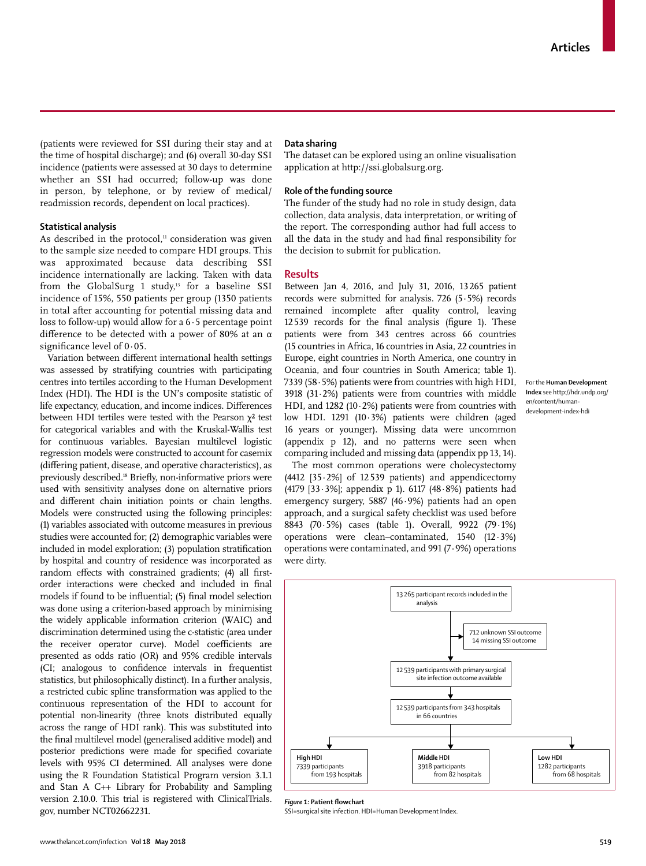(patients were reviewed for SSI during their stay and at the time of hospital discharge); and (6) overall 30-day SSI incidence (patients were assessed at 30 days to determine whether an SSI had occurred; follow-up was done in person, by telephone, or by review of medical/ readmission records, dependent on local practices).

# **Statistical analysis**

As described in the protocol, $11$  consideration was given to the sample size needed to compare HDI groups. This was approximated because data describing SSI incidence internationally are lacking. Taken with data from the GlobalSurg 1 study,<sup>13</sup> for a baseline SSI incidence of 15%, 550 patients per group (1350 patients in total after accounting for potential missing data and loss to follow-up) would allow for a  $6.5$  percentage point difference to be detected with a power of 80% at an α significance level of 0.05.

Variation between different international health settings was assessed by stratifying countries with participating centres into tertiles according to the [Human Development](http://hdr.undp.org/en/content/human-development-index-hdi)  [Index](http://hdr.undp.org/en/content/human-development-index-hdi) (HDI). The HDI is the UN's composite statistic of life expectancy, education, and income indices. Differences between HDI tertiles were tested with the Pearson  $\chi^2$  test for categorical variables and with the Kruskal-Wallis test for continuous variables. Bayesian multilevel logistic regression models were constructed to account for casemix (differing patient, disease, and operative characteristics), as previously described.18 Briefly, non-informative priors were used with sensitivity analyses done on alternative priors and different chain initiation points or chain lengths. Models were constructed using the following principles: (1) variables associated with outcome measures in previous studies were accounted for; (2) demographic variables were included in model exploration; (3) population stratification by hospital and country of residence was incorporated as random effects with constrained gradients; (4) all firstorder interactions were checked and included in final models if found to be influential; (5) final model selection was done using a criterion-based approach by minimising the widely applicable information criterion (WAIC) and discrimination determined using the c-statistic (area under the receiver operator curve). Model coefficients are presented as odds ratio (OR) and 95% credible intervals (CI; analogous to confidence intervals in frequentist statistics, but philosophically distinct). In a further analysis, a restricted cubic spline transformation was applied to the continuous representation of the HDI to account for potential non-linearity (three knots distributed equally across the range of HDI rank). This was substituted into the final multilevel model (generalised additive model) and posterior predictions were made for specified covariate levels with 95% CI determined. All analyses were done using the R Foundation Statistical Program version 3.1.1 and Stan A C++ Library for Probability and Sampling version 2.10.0. This trial is registered with ClinicalTrials. gov, number NCT02662231.

### **Data sharing**

The dataset can be explored using an online visualisation application at http://ssi.globalsurg.org.

## **Role of the funding source**

The funder of the study had no role in study design, data collection, data analysis, data interpretation, or writing of the report. The corresponding author had full access to all the data in the study and had final responsibility for the decision to submit for publication.

#### **Results**

Between Jan 4, 2016, and July 31, 2016, 13265 patient records were submitted for analysis. 726 (5·5%) records remained incomplete after quality control, leaving 12539 records for the final analysis (figure 1). These patients were from 343 centres across 66 countries (15 countries in Africa, 16 countries in Asia, 22 countries in Europe, eight countries in North America, one country in Oceania, and four countries in South America; table 1). 7339 (58·5%) patients were from countries with high HDI, 3918 (31·2%) patients were from countries with middle HDI, and 1282 (10 $\cdot$ 2%) patients were from countries with low HDI. 1291 (10·3%) patients were children (aged 16 years or younger). Missing data were uncommon (appendix p 12), and no patterns were seen when comparing included and missing data (appendix pp 13, 14).

For the **Human Development Index** see http://hdr.undp.org/ en/content/humandevelopment-index-hdi

The most common operations were cholecystectomy (4412 [35·2%] of 12539 patients) and appendicectomy (4179 [33·3%]; appendix p 1). 6117 (48·8%) patients had emergency surgery, 5887 (46·9%) patients had an open approach, and a surgical safety checklist was used before 8843 (70·5%) cases (table 1). Overall, 9922 (79·1%) operations were clean–contaminated, 1540 (12·3%) operations were contaminated, and 991 (7·9%) operations were dirty.



*Figure 1:* **Patient flowchart**

SSI=surgical site infection. HDI=Human Development Index.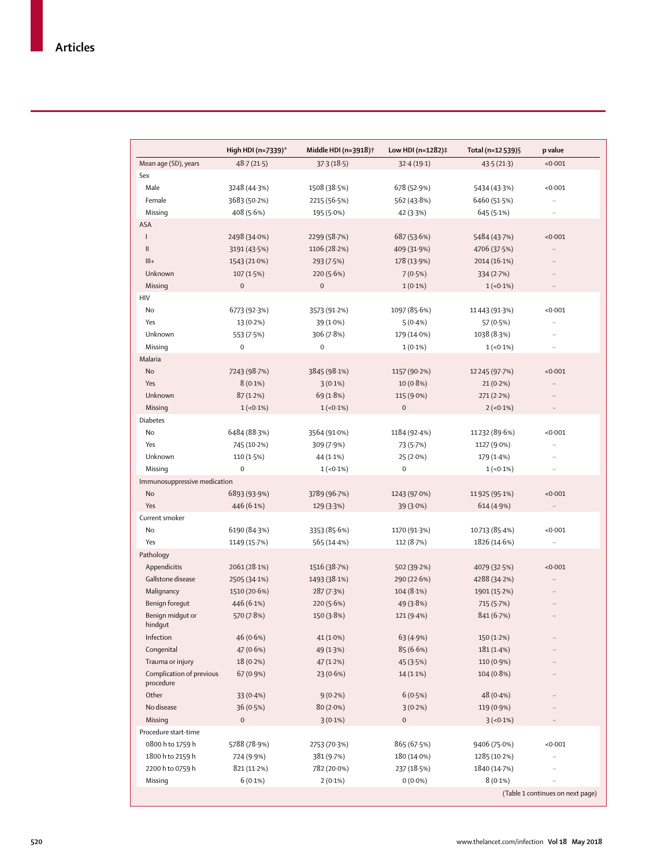|                              | High HDI (n=7339)* | Middle HDI (n=3918)† | Low HDI (n=1282)‡   | Total (n=12 539)§ | p value   |
|------------------------------|--------------------|----------------------|---------------------|-------------------|-----------|
| Mean age (SD), years         | 48.7(21.5)         | 37.3(18.5)           | 32.4(19.1)          | 43.5(21.3)        | <0.001    |
| Sex                          |                    |                      |                     |                   |           |
| Male                         | 3248 (44-3%)       | 1508 (38.5%)         | 678 (52.9%)         | 5434 (43.3%)      | < 0.001   |
| Female                       | 3683 (50.2%)       | 2215 (56.5%)         | 562 (43.8%)         | 6460 (51.5%)      | $\ddotsc$ |
| Missing                      | 408 (5.6%)         | 195 (5.0%)           | 42 (3.3%)           | 645 (5.1%)        | $\ddotsc$ |
| ASA                          |                    |                      |                     |                   |           |
| L                            | 2498 (34.0%)       | 2299 (58.7%)         | 687 (53.6%)         | 5484 (43.7%)      | < 0.001   |
| $\mathsf{II}$                | 3191 (43.5%)       | 1106 (28.2%)         | 409 (31.9%)         | 4706 (37.5%)      |           |
| $III +$                      | 1543 (21.0%)       | 293 (7.5%)           | 178 (13.9%)         | 2014 (16.1%)      |           |
| Unknown                      | 107(1.5%)          | 220(5.6%)            | 7(0.5%)             | 334(2.7%)         |           |
| Missing                      | $\mathbf 0$        | $\mathbf 0$          | $1(0.1\%)$          | $1(-0.1\%)$       | $\ldots$  |
| HIV                          |                    |                      |                     |                   |           |
| No                           | 6773 (92.3%)       | 3573 (91.2%)         | 1097 (85.6%)        | 11443 (91.3%)     | < 0.001   |
| Yes                          | 13 (0.2%)          | 39 (1.0%)            | $5(0.4\%)$          | 57 (0.5%)         |           |
| Unknown                      | 553 (7.5%)         | 306 (7.8%)           | 179 (14.0%)         | 1038 (8.3%)       |           |
| Missing                      | $\mathbf 0$        | $\mathbf 0$          | $1(0.1\%)$          | $1(-0.1\%)$       | $\ddotsc$ |
| Malaria                      |                    |                      |                     |                   |           |
| No                           | 7243 (98.7%)       | 3845 (98.1%)         | 1157 (90.2%)        | 12 245 (97.7%)    | < 0.001   |
| Yes                          | $8(0.1\%)$         | $3(0.1\%)$           | $10(0.8\%)$         | $21(0.2\%)$       |           |
| Unknown                      | 87(1.2%)           | 69 (1.8%)            | 115 (9.0%)          | 271(2.2%)         |           |
| Missing                      | $1(-0.1\%)$        | $1(-0.1\%)$          | $\mathbf 0$         | $2(-0.1\%)$       | $\ldots$  |
| <b>Diabetes</b>              |                    |                      |                     |                   |           |
| No                           | 6484 (88-3%)       | 3564 (91.0%)         | 1184 (92.4%)        | 11232 (89.6%)     | < 0.001   |
| Yes                          | 745 (10.2%)        | 309 (7.9%)           | 73 (5.7%)           | 1127 (9.0%)       | $\ddotsc$ |
| Unknown                      | 110 (1.5%)         | 44 (1.1%)            | 25 (2.0%)           | 179 (1.4%)        |           |
| Missing                      | $\pmb{0}$          | $1(-0.1\%)$          | $\mathsf{O}\xspace$ | $1(-0.1\%)$       |           |
| Immunosuppressive medication |                    |                      |                     |                   |           |
| No                           | 6893 (93.9%)       | 3789 (96.7%)         | 1243 (97.0%)        | 11925 (95-1%)     | < 0.001   |
| Yes                          |                    |                      |                     |                   | .,        |
| Current smoker               | 446 (6.1%)         | 129 (3.3%)           | 39 (3.0%)           | 614 (4.9%)        |           |
| No                           |                    |                      |                     |                   | < 0.001   |
|                              | 6190 (84-3%)       | 3353 (85.6%)         | 1170 (91.3%)        | 10713 (85.4%)     |           |
| Yes                          | 1149 (15.7%)       | 565 (14.4%)          | 112 (8.7%)          | 1826 (14.6%)      |           |
| Pathology                    |                    |                      |                     |                   |           |
| Appendicitis                 | 2061 (28.1%)       | 1516 (38.7%)         | 502 (39.2%)         | 4079 (32.5%)      | < 0.001   |
| Gallstone disease            | 2505 (34.1%)       | 1493 (38.1%)         | 290 (22.6%)         | 4288 (34.2%)      |           |
| Malignancy                   | 1510 (20.6%)       | 287(7.3%)            | $104(8.1\%)$        | 1901 (15.2%)      |           |
| Benign foregut               | 446 (6.1%)         | 220(5.6%)            | 49(3.8%)            | 715 (5.7%)        |           |
| Benign midgut or<br>hindqut  | 570 (7.8%)         | 150 (3.8%)           | 121 (9.4%)          | 841 (6.7%)        |           |
| Infection                    | 46 (0.6%)          | 41 (1.0%)            | 63 (4.9%)           | 150 (1.2%)        |           |
| Congenital                   | 47 (0.6%)          | 49 (1.3%)            | 85(6.6%)            | 181(1.4%)         |           |
| Trauma or injury             | $18(0.2\%)$        | 47(1.2%)             | 45(3.5%)            | 110 (0.9%)        |           |
| Complication of previous     | 67 (0.9%)          | 23 (0.6%)            | 14 (1.1%)           | $104(0.8\%)$      |           |
| procedure                    |                    |                      |                     |                   |           |
| Other                        | 33 (0.4%)          | $9(0.2\%)$           | 6(0.5%)             | 48 (0.4%)         |           |
| No disease                   | 36(0.5%)           | $80(2.0\%)$          | 3(0.2%)             | 119 (0.9%)        |           |
| Missing                      | $\mathbf 0$        | $3(0.1\%)$           | 0                   | $3(-0.1\%)$       |           |
| Procedure start-time         |                    |                      |                     |                   |           |
| 0800 h to 1759 h             | 5788 (78.9%)       | 2753 (70.3%)         | 865 (67.5%)         | 9406 (75.0%)      | < 0.001   |
| 1800 h to 2159 h             | 724 (9.9%)         | 381 (9.7%)           | 180 (14.0%)         | 1285 (10.2%)      |           |
| 2200 h to 0759 h             | 821 (11.2%)        | 782 (20.0%)          | 237 (18.5%)         | 1840 (14.7%)      |           |
|                              |                    |                      |                     |                   |           |
| Missing                      | $6(0.1\%)$         | $2(0.1\%)$           | $0(0.0\%)$          | $8(0.1\%)$        |           |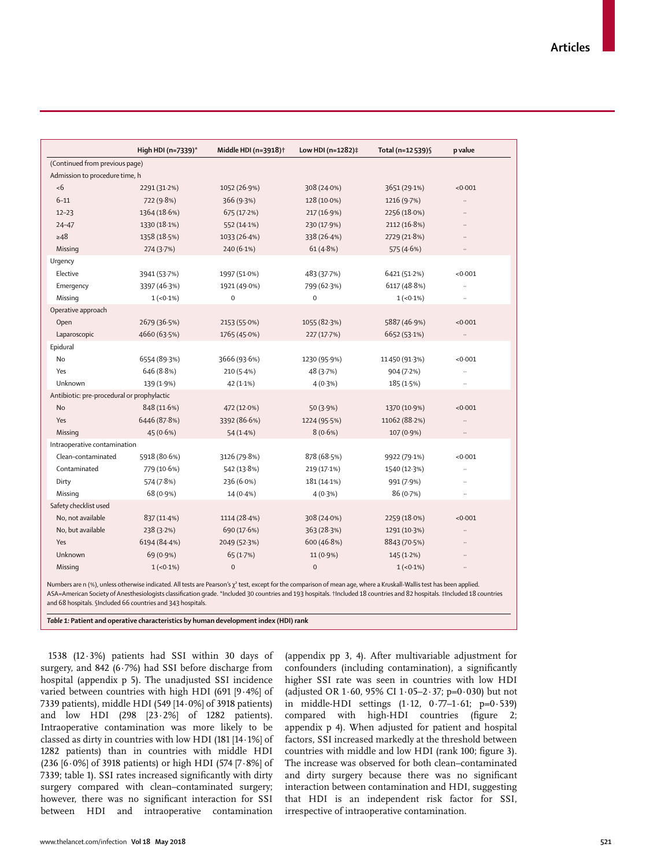|                                            | High HDI (n=7339)* | Middle HDI (n=3918) <sup>†</sup> | Low HDI (n=1282)‡ | Total (n=12 539)§ | p value              |  |
|--------------------------------------------|--------------------|----------------------------------|-------------------|-------------------|----------------------|--|
| (Continued from previous page)             |                    |                                  |                   |                   |                      |  |
| Admission to procedure time, h             |                    |                                  |                   |                   |                      |  |
| <6                                         | 2291 (31.2%)       | 1052 (26.9%)                     | 308 (24.0%)       | 3651 (29.1%)      | < 0.001              |  |
| $6 - 11$                                   | 722 (9.8%)         | 366 (9.3%)                       | 128 (10.0%)       | 1216 (9.7%)       | $\ddot{\phantom{a}}$ |  |
| $12 - 23$                                  | 1364 (18.6%)       | 675 (17.2%)                      | 217 (16.9%)       | 2256 (18.0%)      | $\ddot{\phantom{a}}$ |  |
| $24 - 47$                                  | 1330 (18.1%)       | 552 (14.1%)                      | 230 (17.9%)       | 2112 (16.8%)      | $\ddotsc$            |  |
| $\geq 48$                                  | 1358 (18.5%)       | 1033 (26.4%)                     | 338 (26.4%)       | 2729 (21.8%)      | $\ddotsc$            |  |
| Missing                                    | 274 (3.7%)         | 240 (6.1%)                       | 61 (4.8%)         | 575 (4.6%)        | $\ldots$             |  |
| Urgency                                    |                    |                                  |                   |                   |                      |  |
| Elective                                   | 3941 (53.7%)       | 1997 (51.0%)                     | 483 (37.7%)       | 6421 (51.2%)      | < 0.001              |  |
| Emergency                                  | 3397 (46.3%)       | 1921 (49.0%)                     | 799 (62.3%)       | 6117 (48.8%)      | $\ddot{\phantom{a}}$ |  |
| Missing                                    | $1(-0.1\%)$        | $\pmb{0}$                        | $\mathbf 0$       | $1(-0.1\%)$       | $\ldots$             |  |
| Operative approach                         |                    |                                  |                   |                   |                      |  |
| Open                                       | 2679 (36.5%)       | 2153 (55.0%)                     | 1055 (82.3%)      | 5887 (46.9%)      | < 0.001              |  |
| Laparoscopic                               | 4660 (63.5%)       | 1765 (45.0%)                     | 227 (17.7%)       | 6652 (53.1%)      | $\ldots$             |  |
| Epidural                                   |                    |                                  |                   |                   |                      |  |
| No                                         | 6554 (89.3%)       | 3666 (93.6%)                     | 1230 (95.9%)      | 11450 (91.3%)     | < 0.001              |  |
| Yes                                        | 646 (8.8%)         | 210(5.4%)                        | 48 (3.7%)         | 904 (7.2%)        | $\ddotsc$            |  |
| Unknown                                    | 139 (1.9%)         | $42(1.1\%)$                      | 4(0.3%)           | 185 (1.5%)        | $\ddotsc$            |  |
| Antibiotic: pre-procedural or prophylactic |                    |                                  |                   |                   |                      |  |
| No                                         | 848 (11.6%)        | 472 (12.0%)                      | 50 (3.9%)         | 1370 (10.9%)      | < 0.001              |  |
| Yes                                        | 6446 (87.8%)       | 3392 (86.6%)                     | 1224 (95.5%)      | 11062 (88.2%)     | $\ddotsc$            |  |
| Missing                                    | 45 (0.6%)          | 54 (1.4%)                        | 8(0.6%)           | 107 (0.9%)        | $\ddotsc$            |  |
| Intraoperative contamination               |                    |                                  |                   |                   |                      |  |
| Clean-contaminated                         | 5918 (80.6%)       | 3126 (79.8%)                     | 878 (68.5%)       | 9922 (79-1%)      | < 0.001              |  |
| Contaminated                               | 779 (10.6%)        | 542 (13.8%)                      | 219 (17.1%)       | 1540 (12.3%)      | $\ldots$             |  |
| Dirty                                      | 574 (7.8%)         | 236 (6.0%)                       | 181 (14.1%)       | 991 (7.9%)        | $\ldots$             |  |
| Missing                                    | 68 (0.9%)          | $14(0.4\%)$                      | 4(0.3%)           | 86(0.7%)          | $\ldots$             |  |
| Safety checklist used                      |                    |                                  |                   |                   |                      |  |
| No, not available                          | 837 (11.4%)        | 1114 (28.4%)                     | 308 (24.0%)       | 2259 (18.0%)      | < 0.001              |  |
| No, but available                          | 238(3.2%)          | 690 (17.6%)                      | 363 (28.3%)       | 1291 (10.3%)      |                      |  |
| Yes                                        | 6194 (84.4%)       | 2049 (52.3%)                     | 600 (46.8%)       | 8843 (70.5%)      |                      |  |
| Unknown                                    | 69 (0.9%)          | 65 (1.7%)                        | 11 (0.9%)         | 145(1.2%)         | $\ddot{\phantom{a}}$ |  |
| Missing                                    | $1(-0.1\%)$        | $\pmb{0}$                        | $\mathbf 0$       | $1(-0.1\%)$       | $\ddotsc$            |  |
|                                            |                    |                                  |                   |                   |                      |  |

Numbers are n (%), unless otherwise indicated. All tests are Pearson's χ² test, except for the comparison of mean age, where a Kruskall-Wallis test has been applied. ASA=American Society of Anesthesiologists classification grade. \*Included 30 countries and 193 hospitals. †Included 18 countries and 82 hospitals. ‡Included 18 countries and 68 hospitals. §Included 66 countries and 343 hospitals.

*Table 1:* **Patient and operative characteristics by human development index (HDI) rank**

1538 (12·3%) patients had SSI within 30 days of surgery, and 842 (6 $\cdot$ 7%) had SSI before discharge from hospital (appendix p 5). The unadjusted SSI incidence varied between countries with high HDI (691 [9·4%] of 7339 patients), middle HDI (549 [14·0%] of 3918 patients) and low HDI (298 [23·2%] of 1282 patients). Intraoperative contamination was more likely to be classed as dirty in countries with low HDI (181 [14·1%] of 1282 patients) than in countries with middle HDI (236 [6·0%] of 3918 patients) or high HDI (574 [7·8%] of 7339; table 1). SSI rates increased significantly with dirty surgery compared with clean–contaminated surgery; however, there was no significant interaction for SSI between HDI and intraoperative contamination

(appendix pp 3, 4). After multivariable adjustment for confounders (including contamination), a significantly higher SSI rate was seen in countries with low HDI (adjusted OR 1·60, 95% CI 1·05–2·37; p=0·030) but not in middle-HDI settings (1·12, 0·77–1·61; p=0·539) compared with high-HDI countries (figure 2; appendix p 4). When adjusted for patient and hospital factors, SSI increased markedly at the threshold between countries with middle and low HDI (rank 100; figure 3). The increase was observed for both clean–contaminated and dirty surgery because there was no significant interaction between contamination and HDI, suggesting that HDI is an independent risk factor for SSI, irrespective of intraoperative contamination.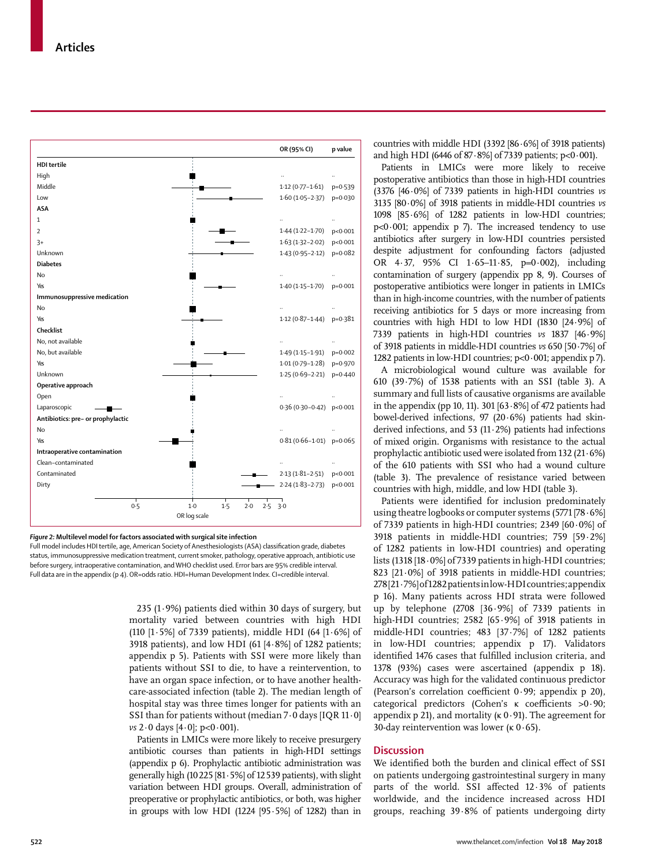

#### *Figure 2:* **Multilevel model for factors associated with surgical site infection**

Full model includes HDI tertile, age, American Society of Anesthesiologists (ASA) classification grade, diabetes status, immunosuppressive medication treatment, current smoker, pathology, operative approach, antibiotic use before surgery, intraoperative contamination, and WHO checklist used. Error bars are 95% credible interval. Full data are in the appendix (p 4). OR=odds ratio. HDI=Human Development Index. CI=credible interval.

> 235 (1 $\cdot$ 9%) patients died within 30 days of surgery, but mortality varied between countries with high HDI (110  $[1.5\%]$  of 7339 patients), middle HDI (64  $[1.6\%]$  of 3918 patients), and low HDI  $(61 [4.8\%]$  of 1282 patients; appendix p 5). Patients with SSI were more likely than patients without SSI to die, to have a reintervention, to have an organ space infection, or to have another healthcare-associated infection (table 2). The median length of hospital stay was three times longer for patients with an SSI than for patients without (median 7·0 days [IQR 11·0] *vs* 2·0 days [4·0]; p<0·001).

> Patients in LMICs were more likely to receive presurgery antibiotic courses than patients in high-HDI settings (appendix p 6). Prophylactic antibiotic administration was generally high (10225 [81·5%] of 12539 patients), with slight variation between HDI groups. Overall, administration of preoperative or prophylactic antibiotics, or both, was higher in groups with low HDI  $(1224 [95.5\%]$  of 1282) than in

countries with middle HDI  $(3392 \ 86.6\%)$  of 3918 patients) and high HDI (6446 of 87·8%] of 7339 patients; p<0·001).

Patients in LMICs were more likely to receive postoperative antibiotics than those in high-HDI countries (3376 [46·0%] of 7339 patients in high-HDI countries *vs* 3135 [80·0%] of 3918 patients in middle-HDI countries *vs* 1098 [85·6%] of 1282 patients in low-HDI countries;  $p<0.001$ ; appendix p 7). The increased tendency to use antibiotics after surgery in low-HDI countries persisted despite adjustment for confounding factors (adjusted OR 4·37, 95% CI 1·65–11·85, p=0·002), including contamination of surgery (appendix pp 8, 9). Courses of postoperative antibiotics were longer in patients in LMICs than in high-income countries, with the number of patients receiving antibiotics for 5 days or more increasing from countries with high HDI to low HDI (1830 [24·9%] of 7339 patients in high-HDI countries *vs* 1837 [46·9%] of 3918 patients in middle-HDI countries *vs* 650 [50·7%] of 1282 patients in low-HDI countries;  $p<0.001$ ; appendix p 7).

A microbiological wound culture was available for 610 (39·7%) of 1538 patients with an SSI (table 3). A summary and full lists of causative organisms are available in the appendix (pp 10, 11). 301  $[63.8\%]$  of 472 patients had bowel-derived infections, 97 (20·6%) patients had skinderived infections, and 53 (11·2%) patients had infections of mixed origin. Organisms with resistance to the actual prophylactic antibiotic used were isolated from 132 (21·6%) of the 610 patients with SSI who had a wound culture (table 3). The prevalence of resistance varied between countries with high, middle, and low HDI (table 3).

Patients were identified for inclusion predominately using theatre logbooks or computer systems (5771 [78·6%] of 7339 patients in high-HDI countries; 2349 [60·0%] of 3918 patients in middle-HDI countries; 759 [59·2%] of 1282 patients in low-HDI countries) and operating lists (1318 [18·0%] of 7339 patients in high-HDI countries; 823 [21·0%] of 3918 patients in middle-HDI countries; 278 [21·7%] of 1282 patients in low-HDI countries; appendix p 16). Many patients across HDI strata were followed up by telephone  $(2708 [36.9\%]$  of 7339 patients in high-HDI countries; 2582  $[65.9\%]$  of 3918 patients in middle-HDI countries; 483 [37·7%] of 1282 patients in low-HDI countries; appendix p 17). Validators identified 1476 cases that fulfilled inclusion criteria, and 1378 (93%) cases were ascertained (appendix p 18). Accuracy was high for the validated continuous predictor (Pearson's correlation coefficient 0·99; appendix p 20), categorical predictors (Cohen's κ coefficients >0·90; appendix p 21), and mortality ( $\kappa$  0.91). The agreement for 30-day reintervention was lower (κ 0·65).

## **Discussion**

We identified both the burden and clinical effect of SSI on patients undergoing gastrointestinal surgery in many parts of the world. SSI affected 12·3% of patients worldwide, and the incidence increased across HDI groups, reaching 39·8% of patients undergoing dirty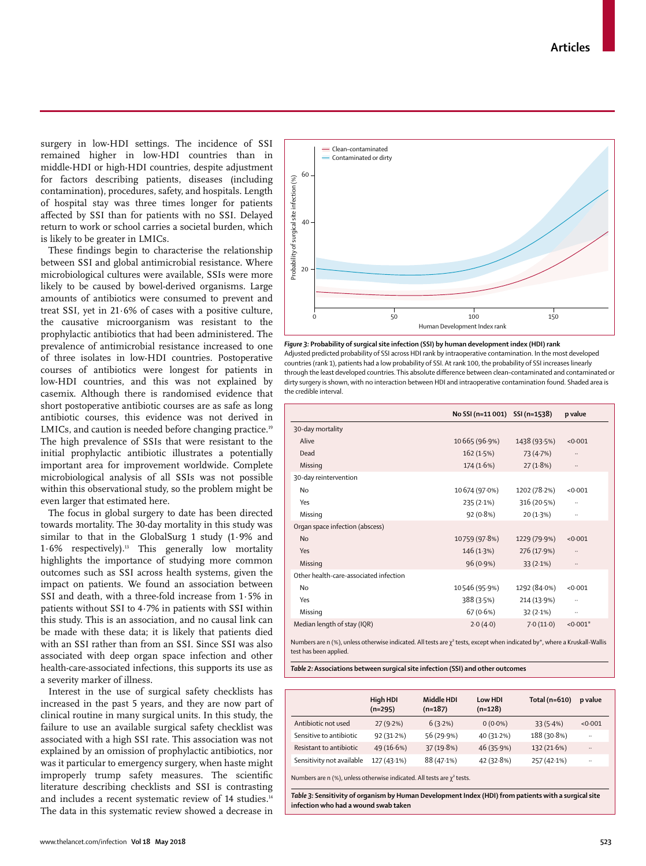www.thelancet.com/infection **Vol 18 May 2018 523**

surgery in low-HDI settings. The incidence of SSI remained higher in low-HDI countries than in middle-HDI or high-HDI countries, despite adjustment for factors describing patients, diseases (including contamination), procedures, safety, and hospitals. Length of hospital stay was three times longer for patients affected by SSI than for patients with no SSI. Delayed return to work or school carries a societal burden, which is likely to be greater in LMICs.

These findings begin to characterise the relationship between SSI and global antimicrobial resistance. Where microbiological cultures were available, SSIs were more likely to be caused by bowel-derived organisms. Large amounts of antibiotics were consumed to prevent and treat SSI, yet in 21·6% of cases with a positive culture, the causative microorganism was resistant to the prophylactic antibiotics that had been administered. The prevalence of antimicrobial resistance increased to one of three isolates in low-HDI countries. Postoperative courses of antibiotics were longest for patients in low-HDI countries, and this was not explained by casemix. Although there is randomised evidence that short postoperative antibiotic courses are as safe as long antibiotic courses, this evidence was not derived in LMICs, and caution is needed before changing practice.<sup>19</sup> The high prevalence of SSIs that were resistant to the initial prophylactic antibiotic illustrates a potentially important area for improvement worldwide. Complete microbiological analysis of all SSIs was not possible within this observational study, so the problem might be even larger that estimated here.

The focus in global surgery to date has been directed towards mortality. The 30-day mortality in this study was similar to that in the GlobalSurg 1 study (1·9% and  $1.6\%$  respectively).<sup>13</sup> This generally low mortality highlights the importance of studying more common outcomes such as SSI across health systems, given the impact on patients. We found an association between SSI and death, with a three-fold increase from 1·5% in patients without SSI to 4·7% in patients with SSI within this study. This is an association, and no causal link can be made with these data; it is likely that patients died with an SSI rather than from an SSI. Since SSI was also associated with deep organ space infection and other health-care-associated infections, this supports its use as a severity marker of illness.

Interest in the use of surgical safety checklists has increased in the past 5 years, and they are now part of clinical routine in many surgical units. In this study, the failure to use an available surgical safety checklist was associated with a high SSI rate. This association was not explained by an omission of prophylactic antibiotics, nor was it particular to emergency surgery, when haste might improperly trump safety measures. The scientific literature describing checklists and SSI is contrasting and includes a recent systematic review of 14 studies.<sup>14</sup> The data in this systematic review showed a decrease in



 $20$ 

40

Probability of surgical site infection (%)

Probability of surgical site infection (%)

 $60$ 

Clean–contaminated Contaminated or dirty

|                                        | No SSI (n=11 001) SSI (n=1538) |              | p value    |
|----------------------------------------|--------------------------------|--------------|------------|
| 30-day mortality                       |                                |              |            |
| Alive                                  | 10665 (96.9%)                  | 1438 (93.5%) | < 0.001    |
| Dead                                   | 162(1.5%)                      | 73 (4.7%)    | $\cdots$   |
| Missing                                | 174(1.6%)                      | 27(1.8%)     | $\cdots$   |
| 30-day reintervention                  |                                |              |            |
| No                                     | 10 674 (97.0%)                 | 1202 (78.2%) | < 0.001    |
| Yes                                    | 235(2.1%)                      | 316 (20.5%)  |            |
| Missing                                | 92(0.8%)                       | 20(1.3%)     |            |
| Organ space infection (abscess)        |                                |              |            |
| <b>No</b>                              | 10759 (97.8%)                  | 1229 (79.9%) | < 0.001    |
| Yes                                    | 146(1.3%)                      | 276 (17.9%)  |            |
| Missing                                | $96(0.9\%)$                    | 33(2.1%)     | $\cdots$   |
| Other health-care-associated infection |                                |              |            |
| No                                     | 10546 (95.9%)                  | 1292 (84.0%) | < 0.001    |
| Yes                                    | 388 (3.5%)                     | 214 (13.9%)  |            |
| Missing                                | 67 (0.6%)                      | 32(2.1%)     |            |
| Median length of stay (IQR)            | 2.0(4.0)                       | 7.0(11.0)    | $< 0.001*$ |

Numbers are n (%), unless otherwise indicated. All tests are χ<sup>2</sup> tests, except when indicated by\*, where a Krusk test has been applied.

*Table 2:* **Associations between surgical site infection (SSI) and other outcomes**

|                           | High HDI<br>$(n=295)$ | Middle HDI<br>$(n=187)$ | Low HDI<br>$(n=128)$ | Total ( $n=610$ ) | p value      |
|---------------------------|-----------------------|-------------------------|----------------------|-------------------|--------------|
| Antibiotic not used       | 27(9.2%)              | 6(3.2%)                 | $0(0.0\%)$           | 33(5.4%)          | < 0.001      |
| Sensitive to antibiotic   | 92(31.2%)             | 56(29.9%)               | 40 (31.2%)           | 188 (30.8%)       | $\cdot\cdot$ |
| Resistant to antibiotic   | 49(16.6%)             | 37 (19.8%)              | 46(35.9%)            | 132 (21.6%)       |              |
| Sensitivity not available | $127(43.1\%)$         | 88 (47.1%)              | 42 (32.8%)           | 257 (42.1%)       |              |

Numbers are n (%), unless otherwise indicated. All tests are  $\chi^2$  tests.

*Table 3:* **Sensitivity of organism by Human Development Index (HDI) from patients with a surgical site infection who had a wound swab taken**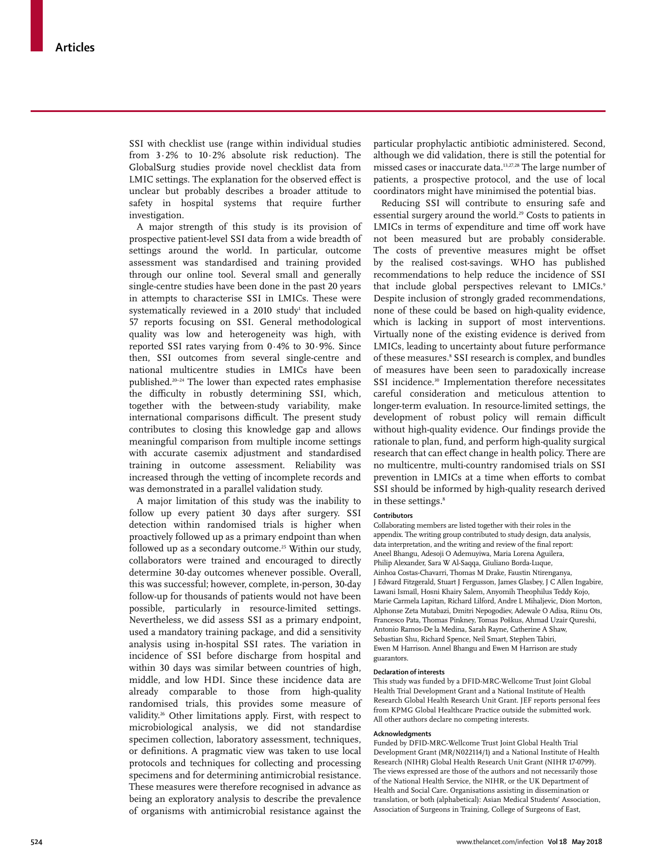SSI with checklist use (range within individual studies from 3·2% to 10·2% absolute risk reduction). The GlobalSurg studies provide novel checklist data from LMIC settings. The explanation for the observed effect is unclear but probably describes a broader attitude to safety in hospital systems that require further investigation.

A major strength of this study is its provision of prospective patient-level SSI data from a wide breadth of settings around the world. In particular, outcome assessment was standardised and training provided through our online tool. Several small and generally single-centre studies have been done in the past 20 years in attempts to characterise SSI in LMICs. These were systematically reviewed in a 2010 study $^{\scriptscriptstyle 1}$  that included 57 reports focusing on SSI. General methodological quality was low and heterogeneity was high, with reported SSI rates varying from 0·4% to 30·9%. Since then, SSI outcomes from several single-centre and national multicentre studies in LMICs have been published.20–24 The lower than expected rates emphasise the difficulty in robustly determining SSI, which, together with the between-study variability, make international comparisons difficult. The present study contributes to closing this knowledge gap and allows meaningful comparison from multiple income settings with accurate casemix adjustment and standardised training in outcome assessment. Reliability was increased through the vetting of incomplete records and was demonstrated in a parallel validation study.

A major limitation of this study was the inability to follow up every patient 30 days after surgery. SSI detection within randomised trials is higher when proactively followed up as a primary endpoint than when followed up as a secondary outcome.<sup>25</sup> Within our study, collaborators were trained and encouraged to directly determine 30-day outcomes whenever possible. Overall, this was successful; however, complete, in-person, 30-day follow-up for thousands of patients would not have been possible, particularly in resource-limited settings. Nevertheless, we did assess SSI as a primary endpoint, used a mandatory training package, and did a sensitivity analysis using in-hospital SSI rates. The variation in incidence of SSI before discharge from hospital and within 30 days was similar between countries of high, middle, and low HDI. Since these incidence data are already comparable to those from high-quality randomised trials, this provides some measure of validity.26 Other limitations apply. First, with respect to microbiological analysis, we did not standardise specimen collection, laboratory assessment, techniques, or definitions. A pragmatic view was taken to use local protocols and techniques for collecting and processing specimens and for determining antimicrobial resistance. These measures were therefore recognised in advance as being an exploratory analysis to describe the prevalence of organisms with antimicrobial resistance against the

particular prophylactic antibiotic administered. Second, although we did validation, there is still the potential for missed cases or inaccurate data.13,27,28 The large number of patients, a prospective protocol, and the use of local coordinators might have minimised the potential bias.

Reducing SSI will contribute to ensuring safe and essential surgery around the world.<sup>29</sup> Costs to patients in LMICs in terms of expenditure and time off work have not been measured but are probably considerable. The costs of preventive measures might be offset by the realised cost-savings. WHO has published recommendations to help reduce the incidence of SSI that include global perspectives relevant to LMICs.9 Despite inclusion of strongly graded recommendations, none of these could be based on high-quality evidence, which is lacking in support of most interventions. Virtually none of the existing evidence is derived from LMICs, leading to uncertainty about future performance of these measures.8 SSI research is complex, and bundles of measures have been seen to paradoxically increase SSI incidence.<sup>30</sup> Implementation therefore necessitates careful consideration and meticulous attention to longer-term evaluation. In resource-limited settings, the development of robust policy will remain difficult without high-quality evidence. Our findings provide the rationale to plan, fund, and perform high-quality surgical research that can effect change in health policy. There are no multicentre, multi-country randomised trials on SSI prevention in LMICs at a time when efforts to combat SSI should be informed by high-quality research derived in these settings.<sup>8</sup>

#### **Contributors**

Collaborating members are listed together with their roles in the appendix. The writing group contributed to study design, data analysis, data interpretation, and the writing and review of the final report: Aneel Bhangu, Adesoji O Ademuyiwa, Maria Lorena Aguilera, Philip Alexander, Sara W Al-Saqqa, Giuliano Borda-Luque, Ainhoa Costas-Chavarri, Thomas M Drake, Faustin Ntirenganya, J Edward Fitzgerald, Stuart J Fergusson, James Glasbey, J C Allen Ingabire, Lawani Ismaïl, Hosni Khairy Salem, Anyomih Theophilus Teddy Kojo, Marie Carmela Lapitan, Richard Lilford, Andre L Mihaljevic, Dion Morton, Alphonse Zeta Mutabazi, Dmitri Nepogodiev, Adewale O Adisa, Riinu Ots, Francesco Pata, Thomas Pinkney, Tomas Poškus, Ahmad Uzair Qureshi, Antonio Ramos-De la Medina, Sarah Rayne, Catherine A Shaw, Sebastian Shu, Richard Spence, Neil Smart, Stephen Tabiri, Ewen M Harrison. Annel Bhangu and Ewen M Harrison are study guarantors.

#### **Declaration of interests**

This study was funded by a DFID-MRC-Wellcome Trust Joint Global Health Trial Development Grant and a National Institute of Health Research Global Health Research Unit Grant. JEF reports personal fees from KPMG Global Healthcare Practice outside the submitted work. All other authors declare no competing interests.

#### **Acknowledgments**

Funded by DFID-MRC-Wellcome Trust Joint Global Health Trial Development Grant (MR/N022114/1) and a National Institute of Health Research (NIHR) Global Health Research Unit Grant (NIHR 17-0799). The views expressed are those of the authors and not necessarily those of the National Health Service, the NIHR, or the UK Department of Health and Social Care. Organisations assisting in dissemination or translation, or both (alphabetical): Asian Medical Students' Association, Association of Surgeons in Training, College of Surgeons of East,